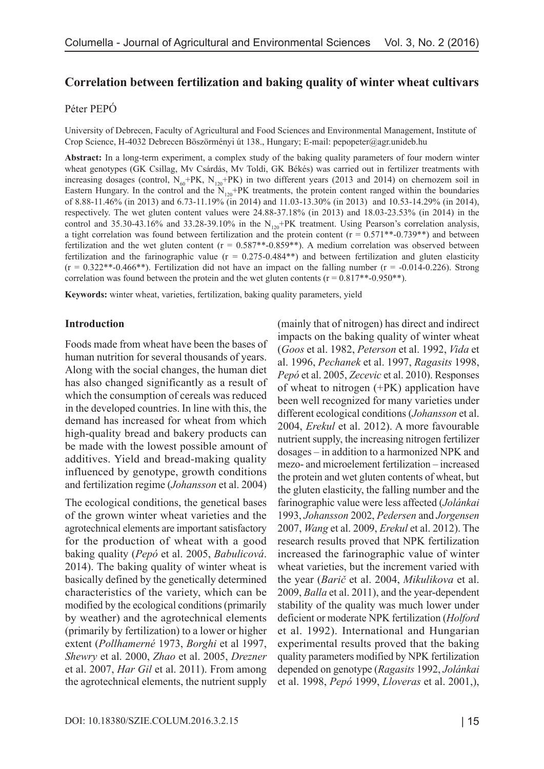# **Correlation between fertilization and baking quality of winter wheat cultivars**

#### Péter PEPÓ

University of Debrecen, Faculty of Agricultural and Food Sciences and Environmental Management, Institute of Crop Science, H-4032 Debrecen Böszörményi út 138., Hungary; E-mail: pepopeter@agr.unideb.hu

**Abstract:** In a long-term experiment, a complex study of the baking quality parameters of four modern winter wheat genotypes (GK Csillag, Mv Csárdás, Mv Toldi, GK Békés) was carried out in fertilizer treatments with increasing dosages (control,  $N_{60}$ +PK,  $N_{120}$ +PK) in two different years (2013 and 2014) on chernozem soil in Eastern Hungary. In the control and the  $\rm N_{120}$ +PK treatments, the protein content ranged within the boundaries of 8.88-11.46% (in 2013) and 6.73-11.19% (in 2014) and 11.03-13.30% (in 2013) and 10.53-14.29% (in 2014), respectively. The wet gluten content values were 24.88-37.18% (in 2013) and 18.03-23.53% (in 2014) in the control and 35.30-43.16% and 33.28-39.10% in the  $N_{120}$ +PK treatment. Using Pearson's correlation analysis, a tight correlation was found between fertilization and the protein content ( $r = 0.571**-0.739**$ ) and between fertilization and the wet gluten content ( $r = 0.587**-0.859**$ ). A medium correlation was observed between fertilization and the farinographic value ( $r = 0.275$ -0.484\*\*) and between fertilization and gluten elasticity  $(r = 0.322$ <sup>\*\*</sup>-0.466<sup>\*\*</sup>). Fertilization did not have an impact on the falling number  $(r = -0.014 - 0.226)$ . Strong correlation was found between the protein and the wet gluten contents ( $r = 0.817**-0.950**$ ).

**Keywords:** winter wheat, varieties, fertilization, baking quality parameters, yield

#### **Introduction**

Foods made from wheat have been the bases of human nutrition for several thousands of years. Along with the social changes, the human diet has also changed significantly as a result of which the consumption of cereals was reduced in the developed countries. In line with this, the demand has increased for wheat from which high-quality bread and bakery products can be made with the lowest possible amount of additives. Yield and bread-making quality influenced by genotype, growth conditions and fertilization regime (*Johansson* et al. 2004)

The ecological conditions, the genetical bases of the grown winter wheat varieties and the agrotechnical elements are important satisfactory for the production of wheat with a good baking quality (*Pepó* et al. 2005, *Babulicová*. 2014). The baking quality of winter wheat is basically defined by the genetically determined characteristics of the variety, which can be modified by the ecological conditions (primarily by weather) and the agrotechnical elements (primarily by fertilization) to a lower or higher extent (*Pollhamerné* 1973, *Borghi* et al 1997, *Shewry* et al. 2000, *Zhao* et al. 2005, *Drezner* et al. 2007, *Har Gil* et al. 2011). From among the agrotechnical elements, the nutrient supply

(mainly that of nitrogen) has direct and indirect impacts on the baking quality of winter wheat (*Goos* et al. 1982, *Peterson* et al. 1992, *Vida* et al. 1996, *Pechanek* et al. 1997, *Ragasits* 1998, *Pepó* et al. 2005, *Zecevic* et al. 2010). Responses of wheat to nitrogen (+PK) application have been well recognized for many varieties under different ecological conditions (*Johansson* et al. 2004, *Erekul* et al. 2012). A more favourable nutrient supply, the increasing nitrogen fertilizer dosages – in addition to a harmonized NPK and mezo- and microelement fertilization – increased the protein and wet gluten contents of wheat, but the gluten elasticity, the falling number and the farinographic value were less affected (*Jolánkai* 1993, *Johansson* 2002, *Pedersen* and *Jorgensen* 2007, *Wang* et al. 2009, *Erekul* et al. 2012). The research results proved that NPK fertilization increased the farinographic value of winter wheat varieties, but the increment varied with the year (*Barič* et al. 2004, *Mikulikova* et al. 2009, *Balla* et al. 2011), and the year-dependent stability of the quality was much lower under deficient or moderate NPK fertilization (*Holford*  et al. 1992). International and Hungarian experimental results proved that the baking quality parameters modified by NPK fertilization depended on genotype (*Ragasits* 1992, *Jolánkai* et al. 1998, *Pepó* 1999, *Lloveras* et al. 2001,),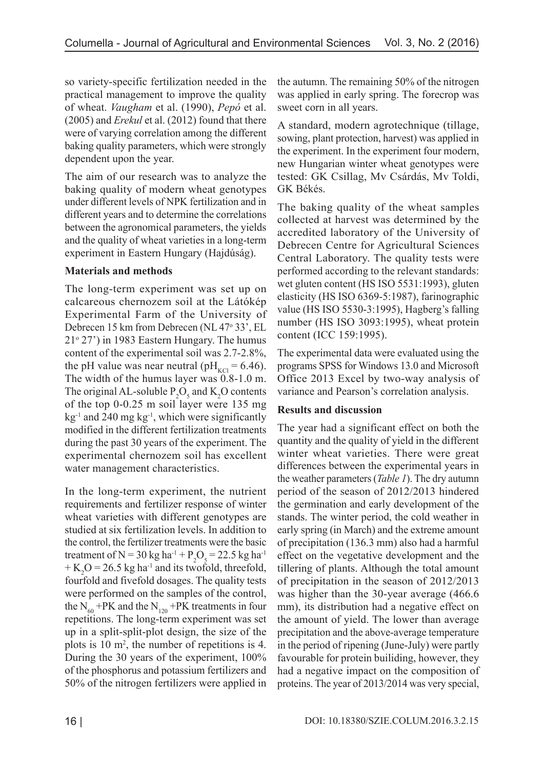so variety-specific fertilization needed in the practical management to improve the quality of wheat. *Vaugham* et al. (1990), *Pepó* et al. (2005) and *Erekul* et al. (2012) found that there were of varying correlation among the different baking quality parameters, which were strongly dependent upon the year.

The aim of our research was to analyze the baking quality of modern wheat genotypes under different levels of NPK fertilization and in different years and to determine the correlations between the agronomical parameters, the yields and the quality of wheat varieties in a long-term experiment in Eastern Hungary (Hajdúság).

# **Materials and methods**

The long-term experiment was set up on calcareous chernozem soil at the Látókép Experimental Farm of the University of Debrecen 15 km from Debrecen (NL 47° 33', EL 21o 27') in 1983 Eastern Hungary. The humus content of the experimental soil was 2.7-2.8%, the pH value was near neutral (pH<sub>KCl</sub> = 6.46). The width of the humus layer was 0.8-1.0 m. The original AL-soluble  $P_2O_5$  and  $K_2O$  contents of the top 0-0.25 m soil layer were 135 mg  $kg^{-1}$  and 240 mg kg<sup>-1</sup>, which were significantly modified in the different fertilization treatments during the past 30 years of the experiment. The experimental chernozem soil has excellent water management characteristics.

In the long-term experiment, the nutrient requirements and fertilizer response of winter wheat varieties with different genotypes are studied at six fertilization levels. In addition to the control, the fertilizer treatments were the basic treatment of N = 30 kg ha<sup>-1</sup> + P<sub>2</sub>O<sub>5</sub> = 22.5 kg ha<sup>-1</sup>  $+$  K<sub>2</sub>O = 26.5 kg ha<sup>-1</sup> and its twofold, threefold, fourfold and fivefold dosages. The quality tests were performed on the samples of the control, the  $N_{60}$  +PK and the  $N_{120}$  +PK treatments in four repetitions. The long-term experiment was set up in a split-split-plot design, the size of the plots is 10 m2 , the number of repetitions is 4. During the 30 years of the experiment, 100% of the phosphorus and potassium fertilizers and 50% of the nitrogen fertilizers were applied in

the autumn. The remaining 50% of the nitrogen was applied in early spring. The forecrop was sweet corn in all years.

A standard, modern agrotechnique (tillage, sowing, plant protection, harvest) was applied in the experiment. In the experiment four modern, new Hungarian winter wheat genotypes were tested: GK Csillag, Mv Csárdás, Mv Toldi, GK Békés.

The baking quality of the wheat samples collected at harvest was determined by the accredited laboratory of the University of Debrecen Centre for Agricultural Sciences Central Laboratory. The quality tests were performed according to the relevant standards: wet gluten content (HS ISO 5531:1993), gluten elasticity (HS ISO 6369-5:1987), farinographic value (HS ISO 5530-3:1995), Hagberg's falling number (HS ISO 3093:1995), wheat protein content (ICC 159:1995).

The experimental data were evaluated using the programs SPSS for Windows 13.0 and Microsoft Office 2013 Excel by two-way analysis of variance and Pearson's correlation analysis.

# **Results and discussion**

The year had a significant effect on both the quantity and the quality of yield in the different winter wheat varieties. There were great differences between the experimental years in the weather parameters (*Table 1*). The dry autumn period of the season of 2012/2013 hindered the germination and early development of the stands. The winter period, the cold weather in early spring (in March) and the extreme amount of precipitation (136.3 mm) also had a harmful effect on the vegetative development and the tillering of plants. Although the total amount of precipitation in the season of 2012/2013 was higher than the 30-year average (466.6 mm), its distribution had a negative effect on the amount of yield. The lower than average precipitation and the above-average temperature in the period of ripening (June-July) were partly favourable for protein builiding, however, they had a negative impact on the composition of proteins. The year of 2013/2014 was very special,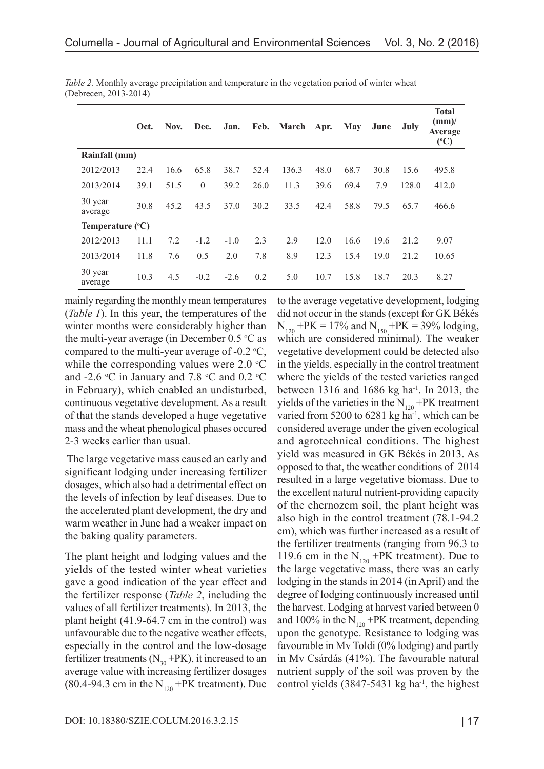|                           | Oct. | Nov. | Dec.     | Jan.   | Feb. | March Apr. |      | May  | June | July  | <b>Total</b><br>$\text{(mm)}$<br>Average<br>$({}^{\circ}C)$ |
|---------------------------|------|------|----------|--------|------|------------|------|------|------|-------|-------------------------------------------------------------|
| Rainfall (mm)             |      |      |          |        |      |            |      |      |      |       |                                                             |
| 2012/2013                 | 22.4 | 16.6 | 65.8     | 38.7   | 52.4 | 136.3      | 48.0 | 68.7 | 30.8 | 15.6  | 495.8                                                       |
| 2013/2014                 | 39.1 | 51.5 | $\theta$ | 39.2   | 26.0 | 11.3       | 39.6 | 69.4 | 7.9  | 128.0 | 412.0                                                       |
| 30 year<br>average        | 30.8 | 45.2 | 43.5     | 37.0   | 30.2 | 33.5       | 42.4 | 58.8 | 79.5 | 65.7  | 466.6                                                       |
| Temperature $(^{\circ}C)$ |      |      |          |        |      |            |      |      |      |       |                                                             |
| 2012/2013                 | 11.1 | 7.2  | $-1.2$   | $-1.0$ | 2.3  | 2.9        | 12.0 | 16.6 | 19.6 | 21.2  | 9.07                                                        |
| 2013/2014                 | 11.8 | 7.6  | 0.5      | 2.0    | 7.8  | 8.9        | 12.3 | 15.4 | 19.0 | 21.2  | 10.65                                                       |
| 30 year<br>average        | 10.3 | 4.5  | $-0.2$   | $-2.6$ | 0.2  | 5.0        | 10.7 | 15.8 | 18.7 | 20.3  | 8.27                                                        |

*Table 2.* Monthly average precipitation and temperature in the vegetation period of winter wheat (Debrecen, 2013-2014)

mainly regarding the monthly mean temperatures (*Table 1*). In this year, the temperatures of the winter months were considerably higher than the multi-year average (in December  $0.5 \,^{\circ}\text{C}$  as compared to the multi-year average of -0.2  $\text{°C}$ , while the corresponding values were  $2.0 \text{ }^{\circ}\text{C}$ and -2.6 °C in January and 7.8 °C and 0.2 °C in February), which enabled an undisturbed, continuous vegetative development. As a result of that the stands developed a huge vegetative mass and the wheat phenological phases occured 2-3 weeks earlier than usual.

 The large vegetative mass caused an early and significant lodging under increasing fertilizer dosages, which also had a detrimental effect on the levels of infection by leaf diseases. Due to the accelerated plant development, the dry and warm weather in June had a weaker impact on the baking quality parameters.

The plant height and lodging values and the yields of the tested winter wheat varieties gave a good indication of the year effect and the fertilizer response (*Table 2*, including the values of all fertilizer treatments). In 2013, the plant height (41.9-64.7 cm in the control) was unfavourable due to the negative weather effects, especially in the control and the low-dosage fertilizer treatments ( $N_{30}$  +PK), it increased to an average value with increasing fertilizer dosages  $(80.4-94.3 \text{ cm in the N}_{120} + \text{PK treatment})$ . Due

to the average vegetative development, lodging did not occur in the stands (except for GK Békés  $N_{120}$  +PK = 17% and  $N_{150}$  +PK = 39% lodging, which are considered minimal). The weaker vegetative development could be detected also in the yields, especially in the control treatment where the yields of the tested varieties ranged between 1316 and 1686 kg ha-1. In 2013, the yields of the varieties in the  $\text{N}_{120}$  +PK treatment varied from 5200 to 6281 kg ha<sup>-1</sup>, which can be considered average under the given ecological and agrotechnical conditions. The highest yield was measured in GK Békés in 2013. As opposed to that, the weather conditions of 2014 resulted in a large vegetative biomass. Due to the excellent natural nutrient-providing capacity of the chernozem soil, the plant height was also high in the control treatment (78.1-94.2 cm), which was further increased as a result of the fertilizer treatments (ranging from 96.3 to 119.6 cm in the  $N_{120}$  +PK treatment). Due to the large vegetative mass, there was an early lodging in the stands in 2014 (in April) and the degree of lodging continuously increased until the harvest. Lodging at harvest varied between 0 and 100% in the  $N_{120}$  +PK treatment, depending upon the genotype. Resistance to lodging was favourable in Mv Toldi (0% lodging) and partly in Mv Csárdás (41%). The favourable natural nutrient supply of the soil was proven by the control yields  $(3847-5431 \text{ kg ha}^{-1})$ , the highest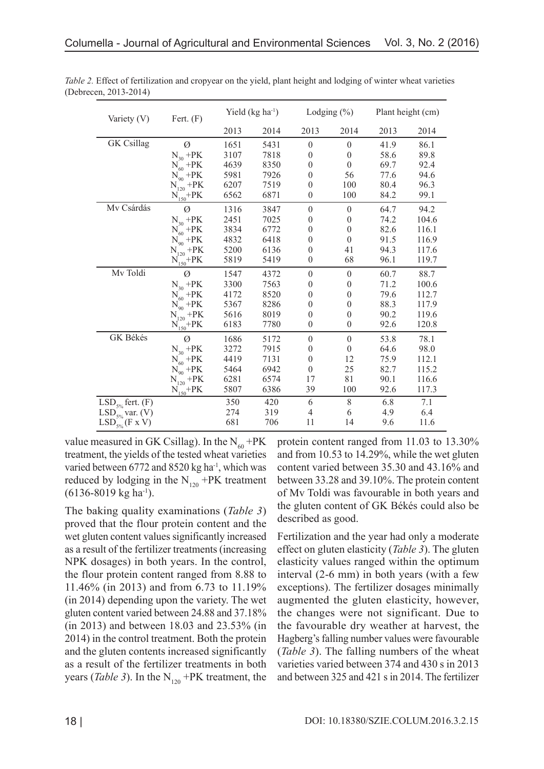| Variety (V)           | Fert. $(F)$                                         |      | Yield $(kg ha-1)$ |                  | Lodging $(\% )$  | Plant height (cm) |       |  |
|-----------------------|-----------------------------------------------------|------|-------------------|------------------|------------------|-------------------|-------|--|
|                       |                                                     | 2013 | 2014              | 2013             | 2014             | 2013              | 2014  |  |
| <b>GK</b> Csillag     | Ø                                                   | 1651 | 5431              | $\theta$         | $\mathbf{0}$     | 41.9              | 86.1  |  |
|                       | $N_{30}$ +PK                                        | 3107 | 7818              | $\theta$         | $\theta$         | 58.6              | 89.8  |  |
|                       | $N_{60}$ +PK                                        | 4639 | 8350              | $\theta$         | $\theta$         | 69.7              | 92.4  |  |
|                       | $N_{90}$ +PK                                        | 5981 | 7926              | $\theta$         | 56               | 77.6              | 94.6  |  |
|                       | $N_{120}$ +PK                                       | 6207 | 7519              | $\theta$         | 100              | 80.4              | 96.3  |  |
|                       | $N_{150} + PK$                                      | 6562 | 6871              | $\theta$         | 100              | 84.2              | 99.1  |  |
| Mv Csárdás            | Ø                                                   | 1316 | 3847              | $\boldsymbol{0}$ | $\mathbf{0}$     | 64.7              | 94.2  |  |
|                       | $\rm N_{30}$ +PK                                    | 2451 | 7025              | $\theta$         | $\theta$         | 74.2              | 104.6 |  |
|                       | $N_{60}$ +PK                                        | 3834 | 6772              | $\theta$         | $\boldsymbol{0}$ | 82.6              | 116.1 |  |
|                       | $N_{90}$ +PK                                        | 4832 | 6418              | $\boldsymbol{0}$ | $\theta$         | 91.5              | 116.9 |  |
|                       | $\widetilde{N_{120}}$ +PK                           | 5200 | 6136              | $\theta$         | 41               | 94.3              | 117.6 |  |
|                       | $N_{150} + PK$                                      | 5819 | 5419              | $\theta$         | 68               | 96.1              | 119.7 |  |
| Mv Toldi              | Ø                                                   | 1547 | 4372              | $\theta$         | $\boldsymbol{0}$ | 60.7              | 88.7  |  |
|                       | $N_{30}$ +PK                                        | 3300 | 7563              | $\boldsymbol{0}$ | $\boldsymbol{0}$ | 71.2              | 100.6 |  |
|                       | $N_{60}$ +PK                                        | 4172 | 8520              | $\theta$         | $\theta$         | 79.6              | 112.7 |  |
|                       | $N_{90}$ +PK                                        | 5367 | 8286              | $\theta$         | $\boldsymbol{0}$ | 88.3              | 117.9 |  |
|                       | $\widetilde{N_{120}}$ +PK                           | 5616 | 8019              | $\theta$         | $\theta$         | 90.2              | 119.6 |  |
|                       | $\textnormal{N}_{\textnormal{150}}\textnormal{+PK}$ | 6183 | 7780              | $\theta$         | $\theta$         | 92.6              | 120.8 |  |
| GK Békés              | Ø                                                   | 1686 | 5172              | $\theta$         | $\mathbf{0}$     | 53.8              | 78.1  |  |
|                       | $N_{30}$ +PK                                        | 3272 | 7915              | $\theta$         | $\theta$         | 64.6              | 98.0  |  |
|                       | $\overline{\mathrm{N}_{60}}$ +PK                    | 4419 | 7131              | $\theta$         | 12               | 75.9              | 112.1 |  |
|                       | $N_{90}$ +PK                                        | 5464 | 6942              | $\theta$         | 25               | 82.7              | 115.2 |  |
|                       | $N_{120}^-$ +PK                                     | 6281 | 6574              | 17               | 81               | 90.1              | 116.6 |  |
|                       | $\frac{\text{N}_{150}+\text{PK}}{}$                 | 5807 | 6386              | 39               | 100              | 92.6              | 117.3 |  |
| $LSD_{5\%}$ fert. (F) |                                                     | 350  | 420               | 6                | $8\,$            | 6.8               | 7.1   |  |
| $LSD_{5\%}$ var. (V)  |                                                     | 274  | 319               | 4                | 6                | 4.9               | 6.4   |  |
| $LSD_{5\%}$ (F x V)   |                                                     | 681  | 706               | 11               | 14               | 9.6               | 11.6  |  |

*Table 2.* Effect of fertilization and cropyear on the yield, plant height and lodging of winter wheat varieties (Debrecen, 2013-2014)

value measured in GK Csillag). In the  $N_{60}$  +PK treatment, the yields of the tested wheat varieties varied between 6772 and 8520 kg ha<sup>-1</sup>, which was reduced by lodging in the  $N_{120}$  +PK treatment  $(6136-8019 \text{ kg} \text{ ha}^{-1}).$ 

The baking quality examinations (*Table 3*) proved that the flour protein content and the wet gluten content values significantly increased as a result of the fertilizer treatments (increasing NPK dosages) in both years. In the control, the flour protein content ranged from 8.88 to 11.46% (in 2013) and from 6.73 to 11.19% (in 2014) depending upon the variety. The wet gluten content varied between 24.88 and 37.18% (in 2013) and between 18.03 and 23.53% (in 2014) in the control treatment. Both the protein and the gluten contents increased significantly as a result of the fertilizer treatments in both years (*Table 3*). In the  $N_{120}$  +PK treatment, the

protein content ranged from 11.03 to 13.30% and from 10.53 to 14.29%, while the wet gluten content varied between 35.30 and 43.16% and between 33.28 and 39.10%. The protein content of Mv Toldi was favourable in both years and the gluten content of GK Békés could also be described as good.

Fertilization and the year had only a moderate effect on gluten elasticity (*Table 3*). The gluten elasticity values ranged within the optimum interval (2-6 mm) in both years (with a few exceptions). The fertilizer dosages minimally augmented the gluten elasticity, however, the changes were not significant. Due to the favourable dry weather at harvest, the Hagberg's falling number values were favourable (*Table 3*). The falling numbers of the wheat varieties varied between 374 and 430 s in 2013 and between 325 and 421 s in 2014. The fertilizer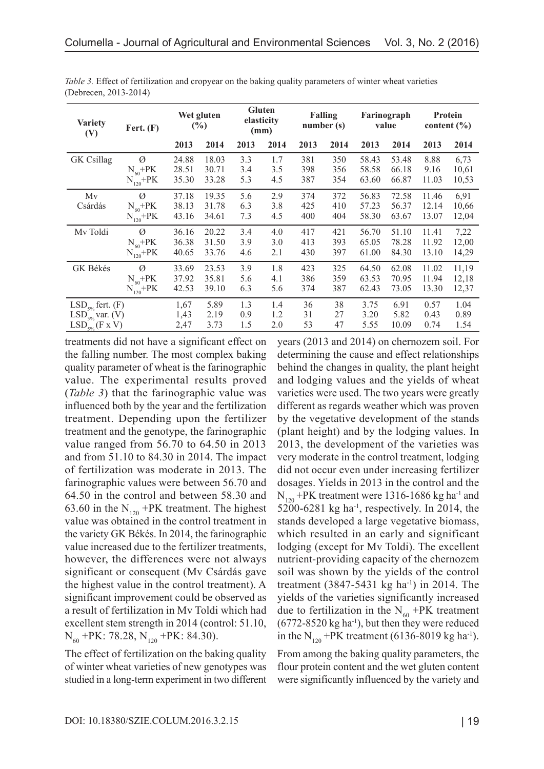| <b>Variety</b><br>(V) | Fert. $(F)$                         | Wet gluten<br>$(\%)$    |                         | <b>Gluten</b><br>elasticity<br>(mm) |                   | <b>Falling</b><br>number(s) |                   | Farinograph<br>value    |                         | Protein<br>content $(\% )$ |                        |
|-----------------------|-------------------------------------|-------------------------|-------------------------|-------------------------------------|-------------------|-----------------------------|-------------------|-------------------------|-------------------------|----------------------------|------------------------|
|                       |                                     | 2013                    | 2014                    | 2013                                | 2014              | 2013                        | 2014              | 2013                    | 2014                    | 2013                       | 2014                   |
| <b>GK</b> Csillag     | $\varnothing$                       | 24.88                   | 18.03                   | 3.3                                 | 1.7               | 381                         | 350               | 58.43                   | 53.48                   | 8.88                       | 6,73                   |
|                       | $N_{60} + PK$                       | 28.51                   | 30.71                   | 3.4                                 | 3.5               | 398                         | 356               | 58.58                   | 66.18                   | 9.16                       | 10,61                  |
|                       | $N_{120} + PK$                      | 35.30                   | 33.28                   | 5.3                                 | 4.5               | 387                         | 354               | 63.60                   | 66.87                   | 11.03                      | 10,53                  |
| Mv<br>Csárdás         | Ø<br>$N_{60}$ +PK<br>$N_{120} + PK$ | 37.18<br>38.13<br>43.16 | 19.35<br>31.78<br>34.61 | 5.6<br>6.3<br>7.3                   | 2.9<br>3.8<br>4.5 | 374<br>425<br>400           | 372<br>410<br>404 | 56.83<br>57.23<br>58.30 | 72.58<br>56.37<br>63.67 | 11.46<br>12.14<br>13.07    | 6,91<br>10,66<br>12,04 |
| Mv Toldi              | Ø                                   | 36.16                   | 20.22                   | 3.4                                 | 4.0               | 417                         | 421               | 56.70                   | 51.10                   | 11.41                      | 7,22                   |
|                       | $N_{60} + PK$                       | 36.38                   | 31.50                   | 3.9                                 | 3.0               | 413                         | 393               | 65.05                   | 78.28                   | 11.92                      | 12,00                  |
|                       | $N_{120} + PK$                      | 40.65                   | 33.76                   | 4.6                                 | 2.1               | 430                         | 397               | 61.00                   | 84.30                   | 13.10                      | 14,29                  |
| GK Békés              | Ø                                   | 33.69                   | 23.53                   | 3.9                                 | 1.8               | 423                         | 325               | 64.50                   | 62.08                   | 11.02                      | 11,19                  |
|                       | $N_{60} + PK$                       | 37.92                   | 35.81                   | 5.6                                 | 4.1               | 386                         | 359               | 63.53                   | 70.95                   | 11.94                      | 12,18                  |
|                       | $N_{120} + PK$                      | 42.53                   | 39.10                   | 6.3                                 | 5.6               | 374                         | 387               | 62.43                   | 73.05                   | 13.30                      | 12,37                  |
| $LSD_{5\%}$ fert. (F) |                                     | 1,67                    | 5.89                    | 1.3                                 | 1.4               | 36                          | 38                | 3.75                    | 6.91                    | 0.57                       | 1.04                   |
| $LSD5%$ var. (V)      |                                     | 1,43                    | 2.19                    | 0.9                                 | 1.2               | 31                          | 27                | 3.20                    | 5.82                    | 0.43                       | 0.89                   |
| $LSD_{5\%}$ (F x V)   |                                     | 2,47                    | 3.73                    | 1.5                                 | 2.0               | 53                          | 47                | 5.55                    | 10.09                   | 0.74                       | 1.54                   |

*Table 3.* Effect of fertilization and cropyear on the baking quality parameters of winter wheat varieties (Debrecen, 2013-2014)

treatments did not have a significant effect on the falling number. The most complex baking quality parameter of wheat is the farinographic value. The experimental results proved (*Table 3*) that the farinographic value was influenced both by the year and the fertilization treatment. Depending upon the fertilizer treatment and the genotype, the farinographic value ranged from 56.70 to 64.50 in 2013 and from 51.10 to 84.30 in 2014. The impact of fertilization was moderate in 2013. The farinographic values were between 56.70 and 64.50 in the control and between 58.30 and 63.60 in the  $N_{120}$  +PK treatment. The highest value was obtained in the control treatment in the variety GK Békés. In 2014, the farinographic value increased due to the fertilizer treatments, however, the differences were not always significant or consequent (Mv Csárdás gave the highest value in the control treatment). A significant improvement could be observed as a result of fertilization in Mv Toldi which had excellent stem strength in 2014 (control: 51.10,  $N_{60}$  +PK: 78.28,  $N_{120}$  +PK: 84.30).

The effect of fertilization on the baking quality of winter wheat varieties of new genotypes was studied in a long-term experiment in two different years (2013 and 2014) on chernozem soil. For determining the cause and effect relationships behind the changes in quality, the plant height and lodging values and the yields of wheat varieties were used. The two years were greatly different as regards weather which was proven by the vegetative development of the stands (plant height) and by the lodging values. In 2013, the development of the varieties was very moderate in the control treatment, lodging did not occur even under increasing fertilizer dosages. Yields in 2013 in the control and the  $N_{120}$  +PK treatment were 1316-1686 kg ha<sup>-1</sup> and  $5200-6281$  kg ha<sup>-1</sup>, respectively. In 2014, the stands developed a large vegetative biomass, which resulted in an early and significant lodging (except for Mv Toldi). The excellent nutrient-providing capacity of the chernozem soil was shown by the yields of the control treatment  $(3847 - 5431 \text{ kg} \text{ ha}^{-1})$  in 2014. The yields of the varieties significantly increased due to fertilization in the  $N_{60}$  +PK treatment  $(6772-8520 \text{ kg} \text{ ha}^{-1})$ , but then they were reduced in the  $N_{120}$  +PK treatment (6136-8019 kg ha<sup>-1</sup>).

From among the baking quality parameters, the flour protein content and the wet gluten content were significantly influenced by the variety and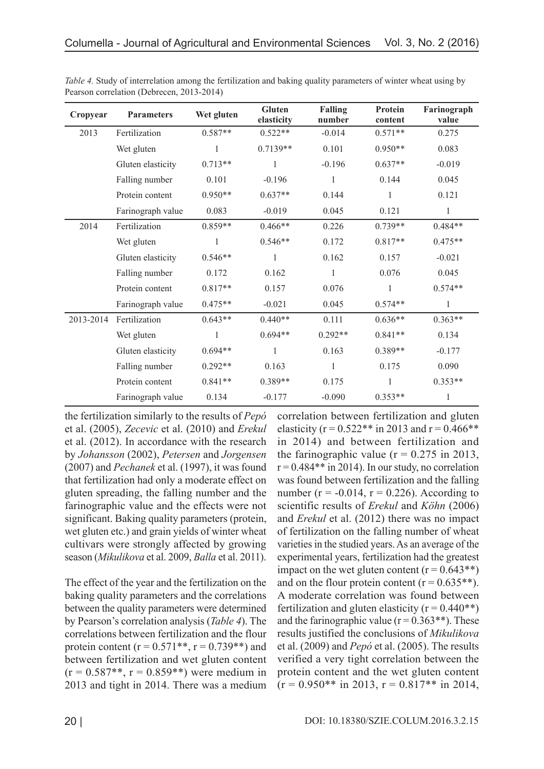| Cropyear  | <b>Parameters</b> | Wet gluten   | Gluten<br>elasticity | <b>Falling</b><br>number | <b>Protein</b><br>content | Farinograph<br>value |
|-----------|-------------------|--------------|----------------------|--------------------------|---------------------------|----------------------|
| 2013      | Fertilization     | $0.587**$    | $0.522**$            | $-0.014$                 | $0.571**$                 | 0.275                |
|           | Wet gluten        | 1            | $0.7139**$           | 0.101                    | $0.950**$                 | 0.083                |
|           | Gluten elasticity | $0.713**$    | 1                    | $-0.196$                 | $0.637**$                 | $-0.019$             |
|           | Falling number    | 0.101        | $-0.196$             | 1                        | 0.144                     | 0.045                |
|           | Protein content   | $0.950**$    | $0.637**$            | 0.144                    | 1                         | 0.121                |
|           | Farinograph value | 0.083        | $-0.019$             | 0.045                    | 0.121                     |                      |
| 2014      | Fertilization     | $0.859**$    | $0.466**$            | 0.226                    | $0.739**$                 | $0.484**$            |
|           | Wet gluten        |              | $0.546**$            | 0.172                    | $0.817**$                 | $0.475**$            |
|           | Gluten elasticity | $0.546**$    | 1                    | 0.162                    | 0.157                     | $-0.021$             |
|           | Falling number    | 0.172        | 0.162                | 1                        | 0.076                     | 0.045                |
|           | Protein content   | $0.817**$    | 0.157                | 0.076                    | $\mathbf{1}$              | $0.574**$            |
|           | Farinograph value | $0.475**$    | $-0.021$             | 0.045                    | $0.574**$                 | 1                    |
| 2013-2014 | Fertilization     | $0.643**$    | $0.440**$            | 0.111                    | $0.636**$                 | $0.363**$            |
|           | Wet gluten        | $\mathbf{1}$ | $0.694**$            | $0.292**$                | $0.841**$                 | 0.134                |
|           | Gluten elasticity | $0.694**$    | $\mathbf{1}$         | 0.163                    | $0.389**$                 | $-0.177$             |
|           | Falling number    | $0.292**$    | 0.163                | $\mathbf{1}$             | 0.175                     | 0.090                |
|           | Protein content   | $0.841**$    | 0.389**              | 0.175                    | 1                         | $0.353**$            |
|           | Farinograph value | 0.134        | $-0.177$             | $-0.090$                 | $0.353**$                 |                      |

*Table 4.* Study of interrelation among the fertilization and baking quality parameters of winter wheat using by Pearson correlation (Debrecen, 2013-2014)

the fertilization similarly to the results of *Pepó* et al. (2005), *Zecevic* et al. (2010) and *Erekul* et al. (2012). In accordance with the research by *Johansson* (2002), *Petersen* and *Jorgensen* (2007) and *Pechanek* et al. (1997), it was found that fertilization had only a moderate effect on gluten spreading, the falling number and the farinographic value and the effects were not significant. Baking quality parameters (protein, wet gluten etc.) and grain yields of winter wheat cultivars were strongly affected by growing season (*Mikulikova* et al. 2009, *Balla* et al. 2011).

The effect of the year and the fertilization on the baking quality parameters and the correlations between the quality parameters were determined by Pearson's correlation analysis (*Table 4*). The correlations between fertilization and the flour protein content ( $r = 0.571**$ ,  $r = 0.739**$ ) and between fertilization and wet gluten content  $(r = 0.587**, r = 0.859**)$  were medium in 2013 and tight in 2014. There was a medium

correlation between fertilization and gluten elasticity ( $r = 0.522$ <sup>\*\*</sup> in 2013 and  $r = 0.466$ <sup>\*\*</sup> in 2014) and between fertilization and the farinographic value  $(r = 0.275$  in 2013,  $r = 0.484$ <sup>\*\*</sup> in 2014). In our study, no correlation was found between fertilization and the falling number ( $r = -0.014$ ,  $r = 0.226$ ). According to scientific results of *Erekul* and *Köhn* (2006) and *Erekul* et al. (2012) there was no impact of fertilization on the falling number of wheat varieties in the studied years. As an average of the experimental years, fertilization had the greatest impact on the wet gluten content  $(r = 0.643**)$ and on the flour protein content ( $r = 0.635**$ ). A moderate correlation was found between fertilization and gluten elasticity ( $r = 0.440**$ ) and the farinographic value ( $r = 0.363**$ ). These results justified the conclusions of *Mikulikova* et al. (2009) and *Pepó* et al. (2005). The results verified a very tight correlation between the protein content and the wet gluten content  $(r = 0.950**$  in 2013,  $r = 0.817**$  in 2014,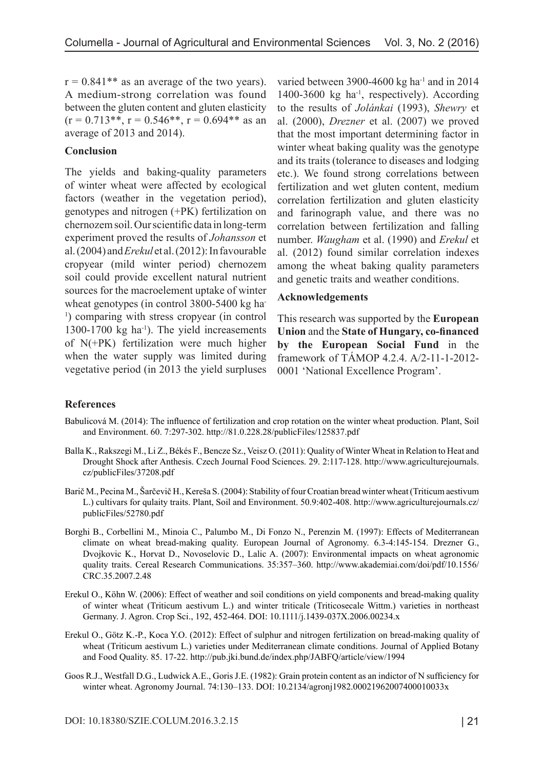$r = 0.841$ <sup>\*\*</sup> as an average of the two years). A medium-strong correlation was found between the gluten content and gluten elasticity  $(r = 0.713**, r = 0.546**, r = 0.694**$  as an average of 2013 and 2014).

### **Conclusion**

The yields and baking-quality parameters of winter wheat were affected by ecological factors (weather in the vegetation period), genotypes and nitrogen (+PK) fertilization on chernozem soil. Our scientific data in long-term experiment proved the results of *Johansson* et al. (2004) and *Erekul* et al. (2012): In favourable cropyear (mild winter period) chernozem soil could provide excellent natural nutrient sources for the macroelement uptake of winter wheat genotypes (in control 3800-5400 kg ha-<sup>1</sup>) comparing with stress cropyear (in control 1300-1700 kg  $ha^{-1}$ ). The yield increasements of N(+PK) fertilization were much higher when the water supply was limited during vegetative period (in 2013 the yield surpluses varied between 3900-4600 kg ha $^{-1}$  and in 2014 1400-3600 kg ha<sup>-1</sup>, respectively). According to the results of *Jolánkai* (1993), *Shewry* et al. (2000), *Drezner* et al. (2007) we proved that the most important determining factor in winter wheat baking quality was the genotype and its traits (tolerance to diseases and lodging etc.). We found strong correlations between fertilization and wet gluten content, medium correlation fertilization and gluten elasticity and farinograph value, and there was no correlation between fertilization and falling number. *Waugham* et al. (1990) and *Erekul* et al. (2012) found similar correlation indexes among the wheat baking quality parameters and genetic traits and weather conditions.

### **Acknowledgements**

This research was supported by the **European Union** and the **State of Hungary, co-financed by the European Social Fund** in the framework of TÁMOP 4.2.4. A/2-11-1-2012- 0001 'National Excellence Program'.

## **References**

- Babulicová M. (2014): The influence of fertilization and crop rotation on the winter wheat production. Plant, Soil and Environment. 60. 7:297-302. http://81.0.228.28/publicFiles/125837.pdf
- Balla K., Rakszegi M., Li Z., Békés F., Bencze Sz., Veisz O. (2011): Quality of Winter Wheat in Relation to Heat and Drought Shock after Anthesis. Czech Journal Food Sciences. 29. 2:117-128. http://www.agriculturejournals. cz/publicFiles/37208.pdf
- Barič M., Pecina M., Šarčevič H., Kereša S. (2004): Stability of four Croatian bread winter wheat (Triticum aestivum L.) cultivars for qulaity traits. Plant, Soil and Environment. 50.9:402-408. http://www.agriculturejournals.cz/ publicFiles/52780.pdf
- Borghi B., Corbellini M., Minoia C., Palumbo M., Di Fonzo N., Perenzin M. (1997): Effects of Mediterranean climate on wheat bread-making quality. European Journal of Agronomy. 6.3-4:145-154. Drezner G., Dvojkovic K., Horvat D., Novoselovic D., Lalic A. (2007): Environmental impacts on wheat agronomic quality traits. Cereal Research Communications. 35:357–360. http://www.akademiai.com/doi/pdf/10.1556/ CRC.35.2007.2.48
- Erekul O., Köhn W. (2006): Effect of weather and soil conditions on yield components and bread-making quality of winter wheat (Triticum aestivum L.) and winter triticale (Triticosecale Wittm.) varieties in northeast Germany. J. Agron. Crop Sci., 192, 452-464. DOI: 10.1111/j.1439-037X.2006.00234.x
- Erekul O., Götz K.-P., Koca Y.O. (2012): Effect of sulphur and nitrogen fertilization on bread-making quality of wheat (Triticum aestivum L.) varieties under Mediterranean climate conditions. Journal of Applied Botany and Food Quality. 85. 17-22. http://pub.jki.bund.de/index.php/JABFQ/article/view/1994
- Goos R.J., Westfall D.G., Ludwick A.E., Goris J.E. (1982): Grain protein content as an indictor of N sufficiency for winter wheat. Agronomy Journal. 74:130–133. DOI: 10.2134/agronj1982.00021962007400010033x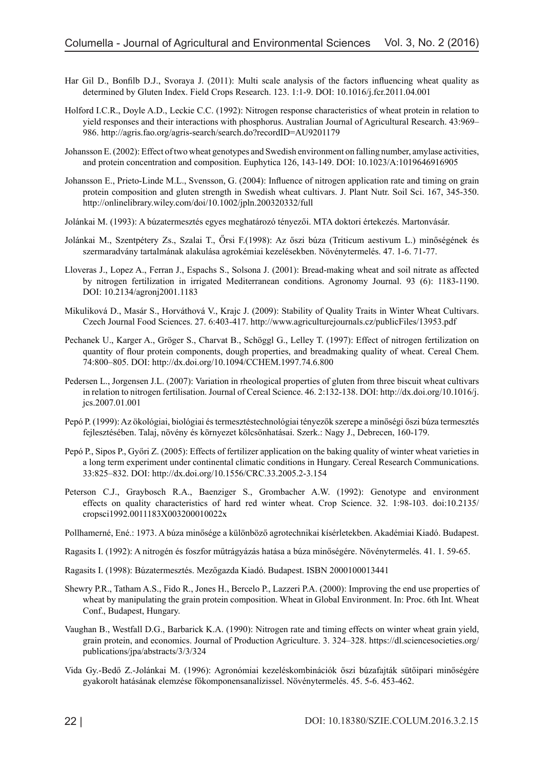- Har Gil D., Bonfilb D.J., Svoraya J. (2011): Multi scale analysis of the factors influencing wheat quality as determined by Gluten Index. Field Crops Research. 123. 1:1-9. DOI: 10.1016/j.fcr.2011.04.001
- Holford I.C.R., Doyle A.D., Leckie C.C. (1992): Nitrogen response characteristics of wheat protein in relation to yield responses and their interactions with phosphorus. Australian Journal of Agricultural Research. 43:969– 986. http://agris.fao.org/agris-search/search.do?recordID=AU9201179
- Johansson E. (2002): Effect of two wheat genotypes and Swedish environment on falling number, amylase activities, and protein concentration and composition. Euphytica 126, 143-149. DOI: 10.1023/A:1019646916905
- Johansson E., Prieto-Linde M.L., Svensson, G. (2004): Influence of nitrogen application rate and timing on grain protein composition and gluten strength in Swedish wheat cultivars. J. Plant Nutr. Soil Sci. 167, 345-350. http://onlinelibrary.wiley.com/doi/10.1002/jpln.200320332/full
- Jolánkai M. (1993): A búzatermesztés egyes meghatározó tényezői. MTA doktori értekezés. Martonvásár.
- Jolánkai M., Szentpétery Zs., Szalai T., Őrsi F.(1998): Az őszi búza (Triticum aestivum L.) minőségének és szermaradvány tartalmának alakulása agrokémiai kezelésekben. Növénytermelés. 47. 1-6. 71-77.
- Lloveras J., Lopez A., Ferran J., Espachs S., Solsona J. (2001): Bread-making wheat and soil nitrate as affected by nitrogen fertilization in irrigated Mediterranean conditions. Agronomy Journal. 93 (6): 1183-1190. DOI: 10.2134/agronj2001.1183
- Mikuliková D., Masár S., Horváthová V., Krajc J. (2009): Stability of Quality Traits in Winter Wheat Cultivars. Czech Journal Food Sciences. 27. 6:403-417. http://www.agriculturejournals.cz/publicFiles/13953.pdf
- Pechanek U., Karger A., Gröger S., Charvat B., Schöggl G., Lelley T. (1997): Effect of nitrogen fertilization on quantity of flour protein components, dough properties, and breadmaking quality of wheat. Cereal Chem. 74:800–805. DOI: http://dx.doi.org/10.1094/CCHEM.1997.74.6.800
- Pedersen L., Jorgensen J.L. (2007): Variation in rheological properties of gluten from three biscuit wheat cultivars in relation to nitrogen fertilisation. Journal of Cereal Science. 46. 2:132-138. DOI: http://dx.doi.org/10.1016/j. jcs.2007.01.001
- Pepó P. (1999): Az ökológiai, biológiai és termesztéstechnológiai tényezők szerepe a minőségi őszi búza termesztés fejlesztésében. Talaj, növény és környezet kölcsönhatásai. Szerk.: Nagy J., Debrecen, 160-179.
- Pepó P., Sipos P., Győri Z. (2005): Effects of fertilizer application on the baking quality of winter wheat varieties in a long term experiment under continental climatic conditions in Hungary. Cereal Research Communications. 33:825–832. DOI: http://dx.doi.org/10.1556/CRC.33.2005.2-3.154
- Peterson C.J., Graybosch R.A., Baenziger S., Grombacher A.W. (1992): Genotype and environment effects on quality characteristics of hard red winter wheat. Crop Science. 32. 1:98-103. doi:10.2135/ cropsci1992.0011183X003200010022x
- Pollhamerné, Ené.: 1973. A búza minősége a különböző agrotechnikai kísérletekben. Akadémiai Kiadó. Budapest.
- Ragasits I. (1992): A nitrogén és foszfor műtrágyázás hatása a búza minőségére. Növénytermelés. 41. 1. 59-65.
- Ragasits I. (1998): Búzatermesztés. Mezőgazda Kiadó. Budapest. ISBN 2000100013441
- Shewry P.R., Tatham A.S., Fido R., Jones H., Bercelo P., Lazzeri P.A. (2000): Improving the end use properties of wheat by manipulating the grain protein composition. Wheat in Global Environment. In: Proc. 6th Int. Wheat Conf., Budapest, Hungary.
- Vaughan B., Westfall D.G., Barbarick K.A. (1990): Nitrogen rate and timing effects on winter wheat grain yield, grain protein, and economics. Journal of Production Agriculture. 3. 324–328. https://dl.sciencesocieties.org/ publications/jpa/abstracts/3/3/324
- Vida Gy.-Bedő Z.-Jolánkai M. (1996): Agronómiai kezeléskombinációk őszi búzafajták sütőipari minőségére gyakorolt hatásának elemzése főkomponensanalízissel. Növénytermelés. 45. 5-6. 453-462.